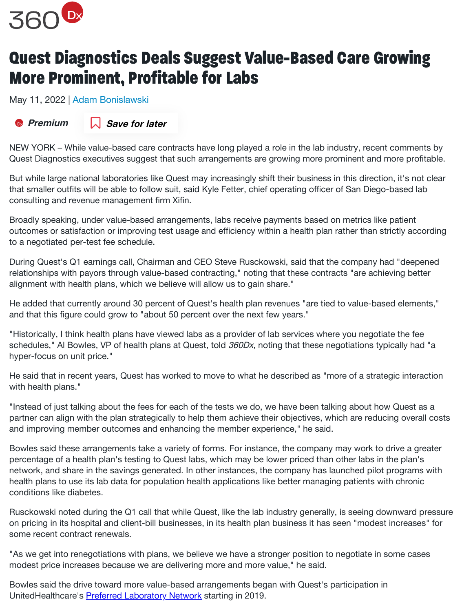

## Quest Diagnostics Deals Suggest Value-Based Care Growing More Prominent, Profitable for Labs

May 11, 2022 | Adam [Bonislawski](https://www.360dx.com/about-us/our-staff/adam-bonislawski)

## $\bullet$  Premium  $\Box$  Save for later

NEW YORK – While value-based care contracts have long played a role in the lab industry, recent comments by Quest Diagnostics executives suggest that such arrangements are growing more prominent and more profitable.

But while large national laboratories like Quest may increasingly shift their business in this direction, it's not clear that smaller outfits will be able to follow suit, said Kyle Fetter, chief operating officer of San Diego-based lab consulting and revenue management firm Xifin.

Broadly speaking, under value-based arrangements, labs receive payments based on metrics like patient outcomes or satisfaction or improving test usage and efficiency within a health plan rather than strictly according to a negotiated per-test fee schedule.

During Quest's Q1 earnings call, Chairman and CEO Steve Rusckowski, said that the company had "deepened relationships with payors through value-based contracting," noting that these contracts "are achieving better alignment with health plans, which we believe will allow us to gain share."

He added that currently around 30 percent of Quest's health plan revenues "are tied to value-based elements," and that this figure could grow to "about 50 percent over the next few years."

"Historically, I think health plans have viewed labs as a provider of lab services where you negotiate the fee schedules," Al Bowles, VP of health plans at Quest, told 360Dx, noting that these negotiations typically had "a hyper-focus on unit price."

He said that in recent years, Quest has worked to move to what he described as "more of a strategic interaction with health plans."

"Instead of just talking about the fees for each of the tests we do, we have been talking about how Quest as a partner can align with the plan strategically to help them achieve their objectives, which are reducing overall costs and improving member outcomes and enhancing the member experience," he said.

Bowles said these arrangements take a variety of forms. For instance, the company may work to drive a greater percentage of a health plan's testing to Quest labs, which may be lower priced than other labs in the plan's network, and share in the savings generated. In other instances, the company has launched pilot programs with health plans to use its lab data for population health applications like better managing patients with chronic conditions like diabetes.

Rusckowski noted during the Q1 call that while Quest, like the lab industry generally, is seeing downward pressure on pricing in its hospital and client-bill businesses, in its health plan business it has seen "modest increases" for some recent contract renewals.

"As we get into renegotiations with plans, we believe we have a stronger position to negotiate in some cases modest price increases because we are delivering more and more value," he said.

Bowles said the drive toward more value-based arrangements began with Quest's participation in UnitedHealthcare's Preferred [Laboratory Network](https://www.360dx.com/clinical-lab-management/unitedhealthcare-preferred-lab-network-could-be-start-broader-trend-suggest#.YnvioejMJnI) starting in 2019.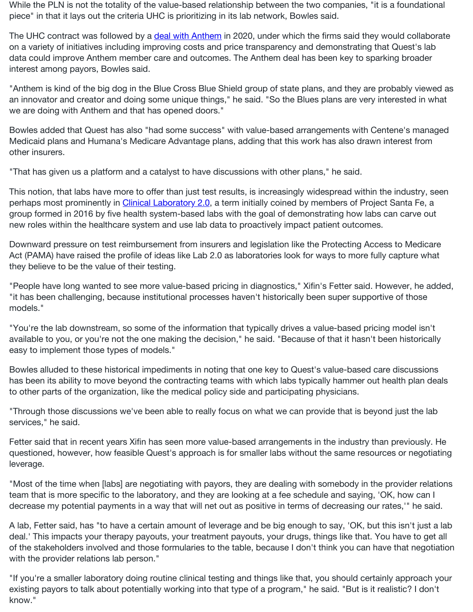While the PLN is not the totality of the value-based relationship between the two companies, "it is a foundational piece" in that it lays out the criteria UHC is prioritizing in its lab network, Bowles said.

The UHC contract was followed by a deal with [Anthem](https://www.360dx.com/clinical-lab-management/quest-anthem-deal-focused-patient-experience-expanded-use-lab-data#.YnvjUejMJnI) in 2020, under which the firms said they would collaborate on a variety of initiatives including improving costs and price transparency and demonstrating that Quest's lab data could improve Anthem member care and outcomes. The Anthem deal has been key to sparking broader interest among payors, Bowles said.

"Anthem is kind of the big dog in the Blue Cross Blue Shield group of state plans, and they are probably viewed as an innovator and creator and doing some unique things," he said. "So the Blues plans are very interested in what we are doing with Anthem and that has opened doors."

Bowles added that Quest has also "had some success" with value-based arrangements with Centene's managed Medicaid plans and Humana's Medicare Advantage plans, adding that this work has also drawn interest from other insurers.

"That has given us a platform and a catalyst to have discussions with other plans," he said.

This notion, that labs have more to offer than just test results, is increasingly widespread within the industry, seen perhaps most prominently in Clinical [Laboratory 2.0,](https://www.360dx.com/clinical-lab-management/laboratory-based-patient-care-project-moving-theory-practice#.YnvuKejMJnI) a term initially coined by members of Project Santa Fe, a group formed in 2016 by five health system-based labs with the goal of demonstrating how labs can carve out new roles within the healthcare system and use lab data to proactively impact patient outcomes.

Downward pressure on test reimbursement from insurers and legislation like the Protecting Access to Medicare Act (PAMA) have raised the profile of ideas like Lab 2.0 as laboratories look for ways to more fully capture what they believe to be the value of their testing.

"People have long wanted to see more value-based pricing in diagnostics," Xifin's Fetter said. However, he added, "it has been challenging, because institutional processes haven't historically been super supportive of those models."

"You're the lab downstream, so some of the information that typically drives a value-based pricing model isn't available to you, or you're not the one making the decision," he said. "Because of that it hasn't been historically easy to implement those types of models."

Bowles alluded to these historical impediments in noting that one key to Quest's value-based care discussions has been its ability to move beyond the contracting teams with which labs typically hammer out health plan deals to other parts of the organization, like the medical policy side and participating physicians.

"Through those discussions we've been able to really focus on what we can provide that is beyond just the lab services," he said.

Fetter said that in recent years Xifin has seen more value-based arrangements in the industry than previously. He questioned, however, how feasible Quest's approach is for smaller labs without the same resources or negotiating leverage.

"Most of the time when [labs] are negotiating with payors, they are dealing with somebody in the provider relations team that is more specific to the laboratory, and they are looking at a fee schedule and saying, 'OK, how can I decrease my potential payments in a way that will net out as positive in terms of decreasing our rates,'" he said.

A lab, Fetter said, has "to have a certain amount of leverage and be big enough to say, 'OK, but this isn't just a lab deal.' This impacts your therapy payouts, your treatment payouts, your drugs, things like that. You have to get all of the stakeholders involved and those formularies to the table, because I don't think you can have that negotiation with the provider relations lab person."

"If you're a smaller laboratory doing routine clinical testing and things like that, you should certainly approach your existing payors to talk about potentially working into that type of a program," he said. "But is it realistic? I don't know."